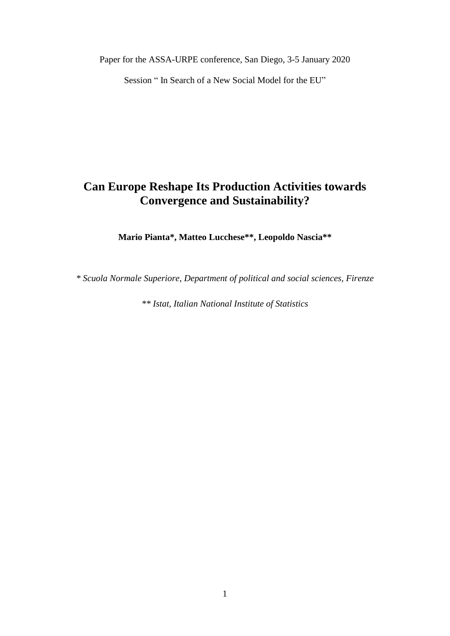Paper for the ASSA-URPE conference, San Diego, 3-5 January 2020

Session " In Search of a New Social Model for the EU"

# **Can Europe Reshape Its Production Activities towards Convergence and Sustainability?**

**Mario Pianta\*, Matteo Lucchese\*\*, Leopoldo Nascia\*\***

*\* Scuola Normale Superiore, Department of political and social sciences, Firenze*

*\*\* Istat, Italian National Institute of Statistics*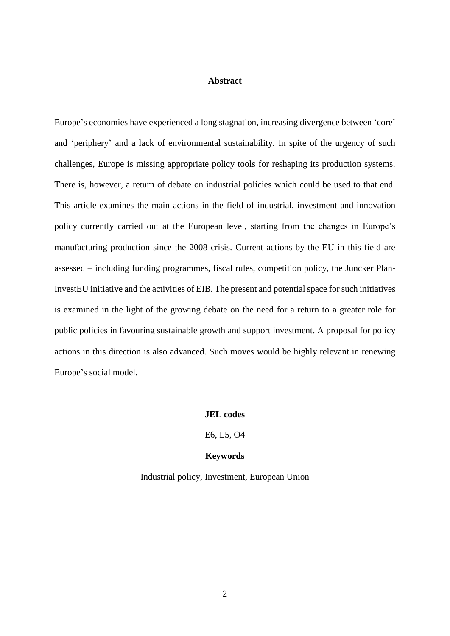### **Abstract**

Europe's economies have experienced a long stagnation, increasing divergence between 'core' and 'periphery' and a lack of environmental sustainability. In spite of the urgency of such challenges, Europe is missing appropriate policy tools for reshaping its production systems. There is, however, a return of debate on industrial policies which could be used to that end. This article examines the main actions in the field of industrial, investment and innovation policy currently carried out at the European level, starting from the changes in Europe's manufacturing production since the 2008 crisis. Current actions by the EU in this field are assessed – including funding programmes, fiscal rules, competition policy, the Juncker Plan-InvestEU initiative and the activities of EIB. The present and potential space for such initiatives is examined in the light of the growing debate on the need for a return to a greater role for public policies in favouring sustainable growth and support investment. A proposal for policy actions in this direction is also advanced. Such moves would be highly relevant in renewing Europe's social model.

### **JEL codes**

E6, L5, O4

### **Keywords**

Industrial policy, Investment, European Union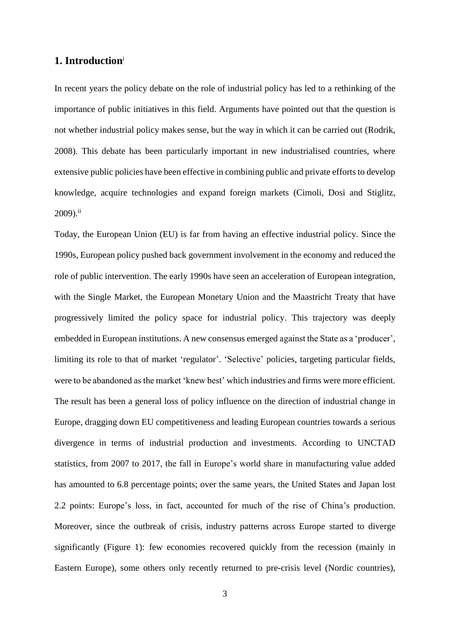# **1. Introduction**<sup>i</sup>

In recent years the policy debate on the role of industrial policy has led to a rethinking of the importance of public initiatives in this field. Arguments have pointed out that the question is not whether industrial policy makes sense, but the way in which it can be carried out (Rodrik, 2008). This debate has been particularly important in new industrialised countries, where extensive public policies have been effective in combining public and private efforts to develop knowledge, acquire technologies and expand foreign markets (Cimoli, Dosi and Stiglitz, 2009). ii

Today, the European Union (EU) is far from having an effective industrial policy. Since the 1990s, European policy pushed back government involvement in the economy and reduced the role of public intervention. The early 1990s have seen an acceleration of European integration, with the Single Market, the European Monetary Union and the Maastricht Treaty that have progressively limited the policy space for industrial policy. This trajectory was deeply embedded in European institutions. A new consensus emerged against the State as a 'producer', limiting its role to that of market 'regulator'. 'Selective' policies, targeting particular fields, were to be abandoned as the market 'knew best' which industries and firms were more efficient. The result has been a general loss of policy influence on the direction of industrial change in Europe, dragging down EU competitiveness and leading European countries towards a serious divergence in terms of industrial production and investments. According to UNCTAD statistics, from 2007 to 2017, the fall in Europe's world share in manufacturing value added has amounted to 6.8 percentage points; over the same years, the United States and Japan lost 2.2 points: Europe's loss, in fact, accounted for much of the rise of China's production. Moreover, since the outbreak of crisis, industry patterns across Europe started to diverge significantly (Figure 1): few economies recovered quickly from the recession (mainly in Eastern Europe), some others only recently returned to pre-crisis level (Nordic countries),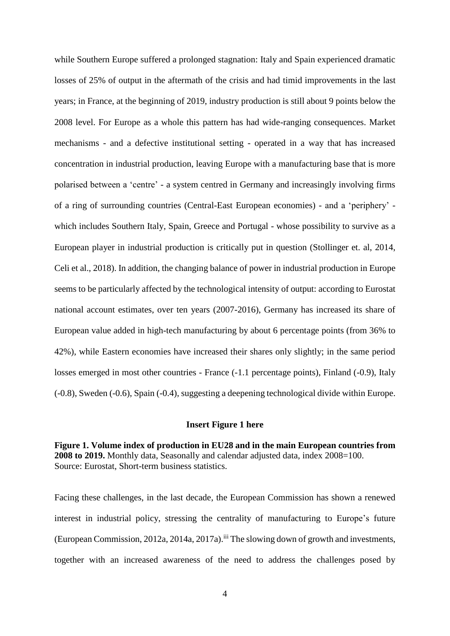while Southern Europe suffered a prolonged stagnation: Italy and Spain experienced dramatic losses of 25% of output in the aftermath of the crisis and had timid improvements in the last years; in France, at the beginning of 2019, industry production is still about 9 points below the 2008 level. For Europe as a whole this pattern has had wide-ranging consequences. Market mechanisms - and a defective institutional setting - operated in a way that has increased concentration in industrial production, leaving Europe with a manufacturing base that is more polarised between a 'centre' - a system centred in Germany and increasingly involving firms of a ring of surrounding countries (Central-East European economies) - and a 'periphery' which includes Southern Italy, Spain, Greece and Portugal - whose possibility to survive as a European player in industrial production is critically put in question (Stollinger et. al, 2014, Celi et al., 2018). In addition, the changing balance of power in industrial production in Europe seems to be particularly affected by the technological intensity of output: according to Eurostat national account estimates, over ten years (2007-2016), Germany has increased its share of European value added in high-tech manufacturing by about 6 percentage points (from 36% to 42%), while Eastern economies have increased their shares only slightly; in the same period losses emerged in most other countries - France  $(-1.1$  percentage points), Finland  $(-0.9)$ , Italy (-0.8), Sweden (-0.6), Spain (-0.4), suggesting a deepening technological divide within Europe.

#### **Insert Figure 1 here**

**Figure 1. Volume index of production in EU28 and in the main European countries from 2008 to 2019.** Monthly data, Seasonally and calendar adjusted data, index 2008=100. Source: Eurostat, Short-term business statistics.

Facing these challenges, in the last decade, the European Commission has shown a renewed interest in industrial policy, stressing the centrality of manufacturing to Europe's future (European Commission, 2012a, 2014a, 2017a).<sup>iii</sup> The slowing down of growth and investments, together with an increased awareness of the need to address the challenges posed by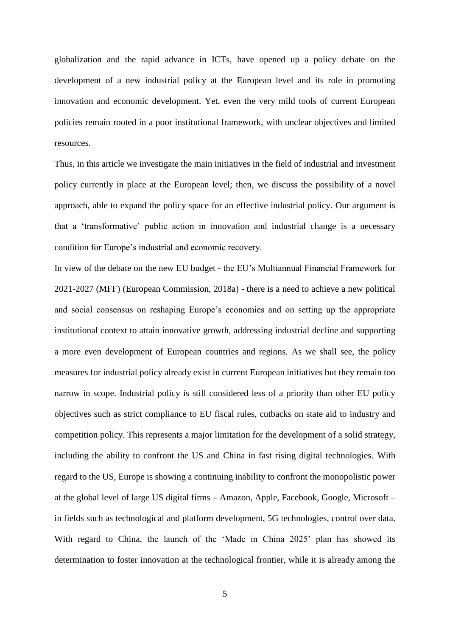globalization and the rapid advance in ICTs, have opened up a policy debate on the development of a new industrial policy at the European level and its role in promoting innovation and economic development. Yet, even the very mild tools of current European policies remain rooted in a poor institutional framework, with unclear objectives and limited resources.

Thus, in this article we investigate the main initiatives in the field of industrial and investment policy currently in place at the European level; then, we discuss the possibility of a novel approach, able to expand the policy space for an effective industrial policy. Our argument is that a 'transformative' public action in innovation and industrial change is a necessary condition for Europe's industrial and economic recovery.

In view of the debate on the new EU budget - the EU's Multiannual Financial Framework for 2021-2027 (MFF) (European Commission, 2018a) - there is a need to achieve a new political and social consensus on reshaping Europe's economies and on setting up the appropriate institutional context to attain innovative growth, addressing industrial decline and supporting a more even development of European countries and regions. As we shall see, the policy measures for industrial policy already exist in current European initiatives but they remain too narrow in scope. Industrial policy is still considered less of a priority than other EU policy objectives such as strict compliance to EU fiscal rules, cutbacks on state aid to industry and competition policy. This represents a major limitation for the development of a solid strategy, including the ability to confront the US and China in fast rising digital technologies. With regard to the US, Europe is showing a continuing inability to confront the monopolistic power at the global level of large US digital firms – Amazon, Apple, Facebook, Google, Microsoft – in fields such as technological and platform development, 5G technologies, control over data. With regard to China, the launch of the 'Made in China 2025' plan has showed its determination to foster innovation at the technological frontier, while it is already among the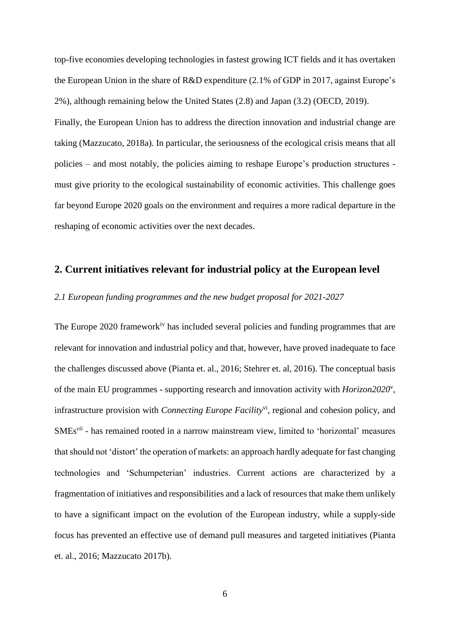top-five economies developing technologies in fastest growing ICT fields and it has overtaken the European Union in the share of R&D expenditure (2.1% of GDP in 2017, against Europe's 2%), although remaining below the United States (2.8) and Japan (3.2) (OECD, 2019). Finally, the European Union has to address the direction innovation and industrial change are taking (Mazzucato, 2018a). In particular, the seriousness of the ecological crisis means that all policies – and most notably, the policies aiming to reshape Europe's production structures must give priority to the ecological sustainability of economic activities. This challenge goes far beyond Europe 2020 goals on the environment and requires a more radical departure in the reshaping of economic activities over the next decades.

# **2. Current initiatives relevant for industrial policy at the European level**

# *2.1 European funding programmes and the new budget proposal for 2021-2027*

The Europe 2020 framework<sup>iv</sup> has included several policies and funding programmes that are relevant for innovation and industrial policy and that, however, have proved inadequate to face the challenges discussed above (Pianta et. al., 2016; Stehrer et. al, 2016). The conceptual basis of the main EU programmes - supporting research and innovation activity with *Horizon2020*<sup>v</sup> , infrastructure provision with *Connecting Europe Facility*vi, regional and cohesion policy, and SMEs*vii* - has remained rooted in a narrow mainstream view, limited to 'horizontal' measures that should not 'distort' the operation of markets: an approach hardly adequate for fast changing technologies and 'Schumpeterian' industries. Current actions are characterized by a fragmentation of initiatives and responsibilities and a lack of resources that make them unlikely to have a significant impact on the evolution of the European industry, while a supply-side focus has prevented an effective use of demand pull measures and targeted initiatives (Pianta et. al., 2016; Mazzucato 2017b).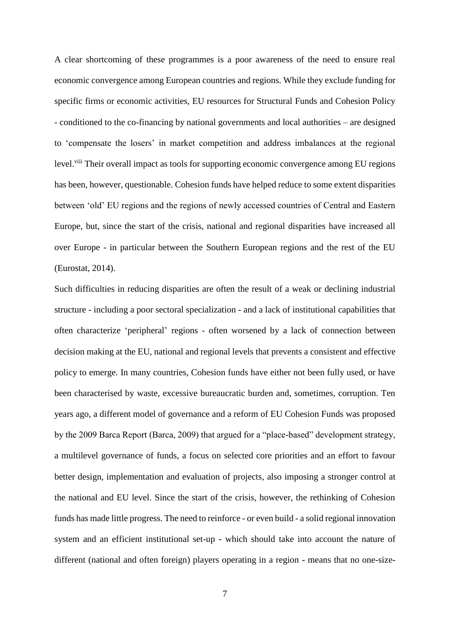A clear shortcoming of these programmes is a poor awareness of the need to ensure real economic convergence among European countries and regions. While they exclude funding for specific firms or economic activities, EU resources for Structural Funds and Cohesion Policy - conditioned to the co-financing by national governments and local authorities – are designed to 'compensate the losers' in market competition and address imbalances at the regional level.<sup>viii</sup> Their overall impact as tools for supporting economic convergence among EU regions has been, however, questionable. Cohesion funds have helped reduce to some extent disparities between 'old' EU regions and the regions of newly accessed countries of Central and Eastern Europe, but, since the start of the crisis, national and regional disparities have increased all over Europe - in particular between the Southern European regions and the rest of the EU (Eurostat, 2014).

Such difficulties in reducing disparities are often the result of a weak or declining industrial structure - including a poor sectoral specialization - and a lack of institutional capabilities that often characterize 'peripheral' regions - often worsened by a lack of connection between decision making at the EU, national and regional levels that prevents a consistent and effective policy to emerge. In many countries, Cohesion funds have either not been fully used, or have been characterised by waste, excessive bureaucratic burden and, sometimes, corruption. Ten years ago, a different model of governance and a reform of EU Cohesion Funds was proposed by the 2009 Barca Report (Barca, 2009) that argued for a "place-based" development strategy, a multilevel governance of funds, a focus on selected core priorities and an effort to favour better design, implementation and evaluation of projects, also imposing a stronger control at the national and EU level. Since the start of the crisis, however, the rethinking of Cohesion funds has made little progress. The need to reinforce - or even build - a solid regional innovation system and an efficient institutional set-up - which should take into account the nature of different (national and often foreign) players operating in a region - means that no one-size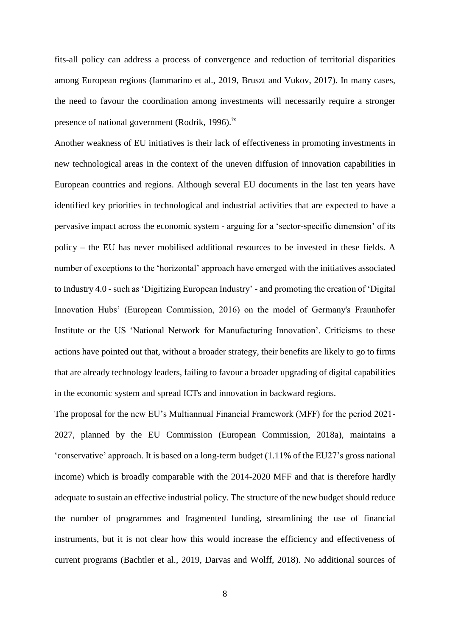fits-all policy can address a process of convergence and reduction of territorial disparities among European regions (Iammarino et al., 2019, Bruszt and Vukov, 2017). In many cases, the need to favour the coordination among investments will necessarily require a stronger presence of national government (Rodrik, 1996).<sup>ix</sup>

Another weakness of EU initiatives is their lack of effectiveness in promoting investments in new technological areas in the context of the uneven diffusion of innovation capabilities in European countries and regions. Although several EU documents in the last ten years have identified key priorities in technological and industrial activities that are expected to have a pervasive impact across the economic system - arguing for a 'sector-specific dimension' of its policy – the EU has never mobilised additional resources to be invested in these fields. A number of exceptions to the 'horizontal' approach have emerged with the initiatives associated to Industry 4.0 - such as 'Digitizing European Industry' - and promoting the creation of 'Digital Innovation Hubs' (European Commission, 2016) on the model of Germany's Fraunhofer Institute or the US 'National Network for Manufacturing Innovation'. Criticisms to these actions have pointed out that, without a broader strategy, their benefits are likely to go to firms that are already technology leaders, failing to favour a broader upgrading of digital capabilities in the economic system and spread ICTs and innovation in backward regions.

The proposal for the new EU's Multiannual Financial Framework (MFF) for the period 2021- 2027, planned by the EU Commission (European Commission, 2018a), maintains a 'conservative' approach. It is based on a long-term budget (1.11% of the EU27's gross national income) which is broadly comparable with the 2014-2020 MFF and that is therefore hardly adequate to sustain an effective industrial policy. The structure of the new budget should reduce the number of programmes and fragmented funding, streamlining the use of financial instruments, but it is not clear how this would increase the efficiency and effectiveness of current programs (Bachtler et al., 2019, Darvas and Wolff, 2018). No additional sources of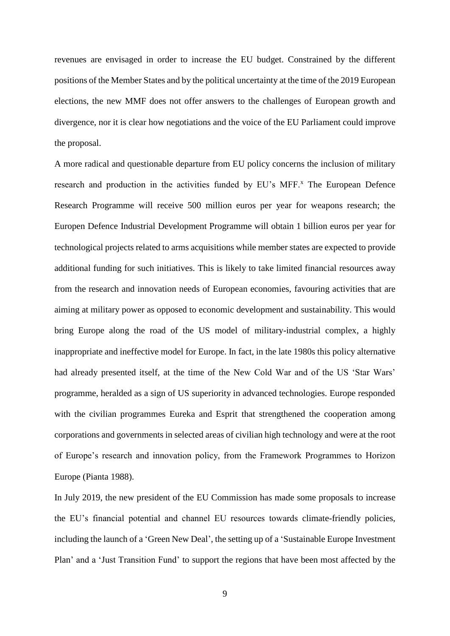revenues are envisaged in order to increase the EU budget. Constrained by the different positions of the Member States and by the political uncertainty at the time of the 2019 European elections, the new MMF does not offer answers to the challenges of European growth and divergence, nor it is clear how negotiations and the voice of the EU Parliament could improve the proposal.

A more radical and questionable departure from EU policy concerns the inclusion of military research and production in the activities funded by EU's MFF.<sup>x</sup> The European Defence Research Programme will receive 500 million euros per year for weapons research; the Europen Defence Industrial Development Programme will obtain 1 billion euros per year for technological projects related to arms acquisitions while member states are expected to provide additional funding for such initiatives. This is likely to take limited financial resources away from the research and innovation needs of European economies, favouring activities that are aiming at military power as opposed to economic development and sustainability. This would bring Europe along the road of the US model of military-industrial complex, a highly inappropriate and ineffective model for Europe. In fact, in the late 1980s this policy alternative had already presented itself, at the time of the New Cold War and of the US 'Star Wars' programme, heralded as a sign of US superiority in advanced technologies. Europe responded with the civilian programmes Eureka and Esprit that strengthened the cooperation among corporations and governments in selected areas of civilian high technology and were at the root of Europe's research and innovation policy, from the Framework Programmes to Horizon Europe (Pianta 1988).

In July 2019, the new president of the EU Commission has made some proposals to increase the EU's financial potential and channel EU resources towards climate-friendly policies, including the launch of a 'Green New Deal', the setting up of a 'Sustainable Europe Investment Plan' and a 'Just Transition Fund' to support the regions that have been most affected by the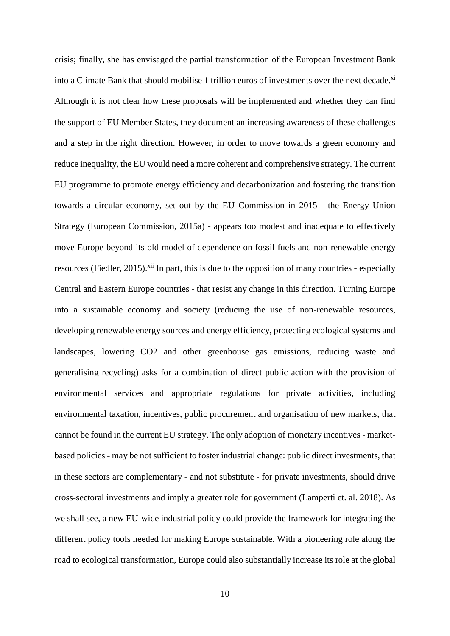crisis; finally, she has envisaged the partial transformation of the European Investment Bank into a Climate Bank that should mobilise 1 trillion euros of investments over the next decade.<sup>xi</sup> Although it is not clear how these proposals will be implemented and whether they can find the support of EU Member States, they document an increasing awareness of these challenges and a step in the right direction. However, in order to move towards a green economy and reduce inequality, the EU would need a more coherent and comprehensive strategy. The current EU programme to promote energy efficiency and decarbonization and fostering the transition towards a circular economy, set out by the EU Commission in 2015 - the Energy Union Strategy (European Commission, 2015a) - appears too modest and inadequate to effectively move Europe beyond its old model of dependence on fossil fuels and non-renewable energy resources (Fiedler, 2015).<sup>xii</sup> In part, this is due to the opposition of many countries - especially Central and Eastern Europe countries - that resist any change in this direction. Turning Europe into a sustainable economy and society (reducing the use of non-renewable resources, developing renewable energy sources and energy efficiency, protecting ecological systems and landscapes, lowering CO2 and other greenhouse gas emissions, reducing waste and generalising recycling) asks for a combination of direct public action with the provision of environmental services and appropriate regulations for private activities, including environmental taxation, incentives, public procurement and organisation of new markets, that cannot be found in the current EU strategy. The only adoption of monetary incentives - marketbased policies - may be not sufficient to foster industrial change: public direct investments, that in these sectors are complementary - and not substitute - for private investments, should drive cross-sectoral investments and imply a greater role for government (Lamperti et. al. 2018). As we shall see, a new EU-wide industrial policy could provide the framework for integrating the different policy tools needed for making Europe sustainable. With a pioneering role along the road to ecological transformation, Europe could also substantially increase its role at the global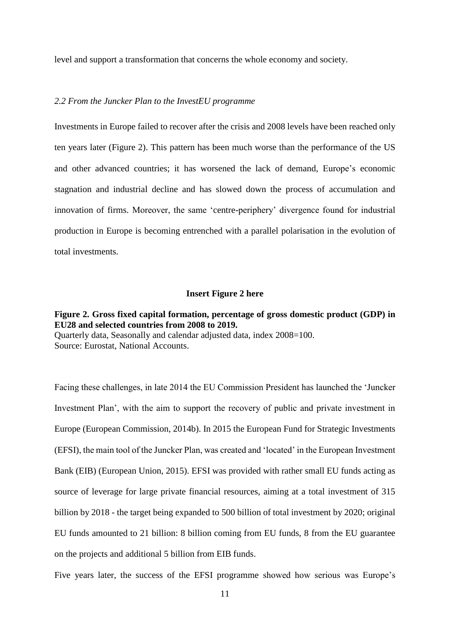level and support a transformation that concerns the whole economy and society.

#### *2.2 From the Juncker Plan to the InvestEU programme*

Investments in Europe failed to recover after the crisis and 2008 levels have been reached only ten years later (Figure 2). This pattern has been much worse than the performance of the US and other advanced countries; it has worsened the lack of demand, Europe's economic stagnation and industrial decline and has slowed down the process of accumulation and innovation of firms. Moreover, the same 'centre-periphery' divergence found for industrial production in Europe is becoming entrenched with a parallel polarisation in the evolution of total investments.

#### **Insert Figure 2 here**

**Figure 2. Gross fixed capital formation, percentage of gross domestic product (GDP) in EU28 and selected countries from 2008 to 2019.** Quarterly data, Seasonally and calendar adjusted data, index 2008=100. Source: Eurostat, National Accounts.

Facing these challenges, in late 2014 the EU Commission President has launched the 'Juncker Investment Plan', with the aim to support the recovery of public and private investment in Europe (European Commission, 2014b). In 2015 the European Fund for Strategic Investments (EFSI), the main tool of the Juncker Plan, was created and 'located' in the European Investment Bank (EIB) (European Union, 2015). EFSI was provided with rather small EU funds acting as source of leverage for large private financial resources, aiming at a total investment of 315 billion by 2018 - the target being expanded to 500 billion of total investment by 2020; original EU funds amounted to 21 billion: 8 billion coming from EU funds, 8 from the EU guarantee on the projects and additional 5 billion from EIB funds.

Five years later, the success of the EFSI programme showed how serious was Europe's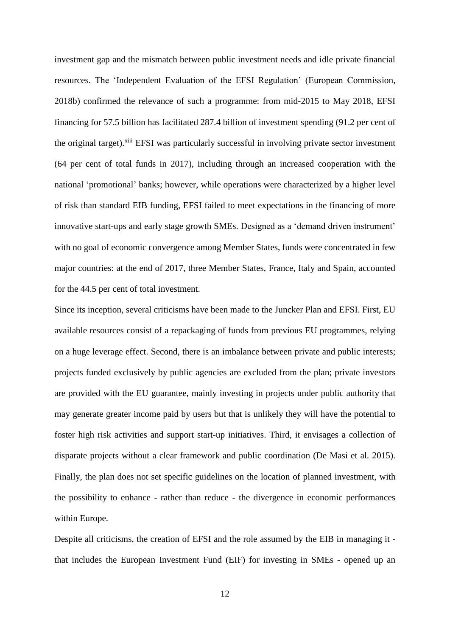investment gap and the mismatch between public investment needs and idle private financial resources. The 'Independent Evaluation of the EFSI Regulation' (European Commission, 2018b) confirmed the relevance of such a programme: from mid-2015 to May 2018, EFSI financing for 57.5 billion has facilitated 287.4 billion of investment spending (91.2 per cent of the original target).<sup>xiii</sup> EFSI was particularly successful in involving private sector investment (64 per cent of total funds in 2017), including through an increased cooperation with the national 'promotional' banks; however, while operations were characterized by a higher level of risk than standard EIB funding, EFSI failed to meet expectations in the financing of more innovative start-ups and early stage growth SMEs. Designed as a 'demand driven instrument' with no goal of economic convergence among Member States, funds were concentrated in few major countries: at the end of 2017, three Member States, France, Italy and Spain, accounted for the 44.5 per cent of total investment.

Since its inception, several criticisms have been made to the Juncker Plan and EFSI. First, EU available resources consist of a repackaging of funds from previous EU programmes, relying on a huge leverage effect. Second, there is an imbalance between private and public interests; projects funded exclusively by public agencies are excluded from the plan; private investors are provided with the EU guarantee, mainly investing in projects under public authority that may generate greater income paid by users but that is unlikely they will have the potential to foster high risk activities and support start-up initiatives. Third, it envisages a collection of disparate projects without a clear framework and public coordination (De Masi et al. 2015). Finally, the plan does not set specific guidelines on the location of planned investment, with the possibility to enhance - rather than reduce - the divergence in economic performances within Europe.

Despite all criticisms, the creation of EFSI and the role assumed by the EIB in managing it that includes the European Investment Fund (EIF) for investing in SMEs - opened up an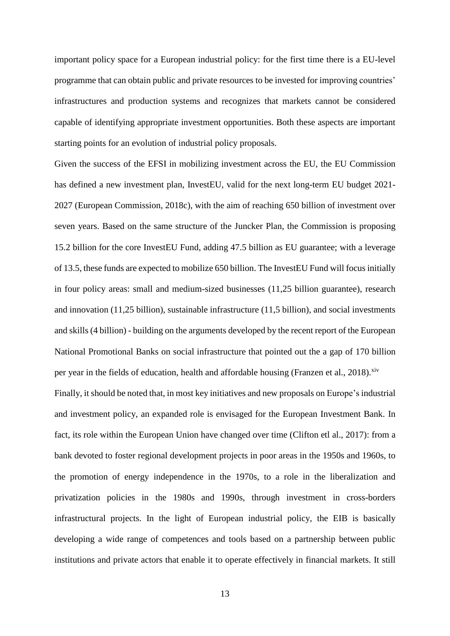important policy space for a European industrial policy: for the first time there is a EU-level programme that can obtain public and private resources to be invested for improving countries' infrastructures and production systems and recognizes that markets cannot be considered capable of identifying appropriate investment opportunities. Both these aspects are important starting points for an evolution of industrial policy proposals.

Given the success of the EFSI in mobilizing investment across the EU, the EU Commission has defined a new investment plan, InvestEU, valid for the next long-term EU budget 2021- 2027 (European Commission, 2018c), with the aim of reaching 650 billion of investment over seven years. Based on the same structure of the Juncker Plan, the Commission is proposing 15.2 billion for the core InvestEU Fund, adding 47.5 billion as EU guarantee; with a leverage of 13.5, these funds are expected to mobilize 650 billion. The InvestEU Fund will focusinitially in four policy areas: small and medium-sized businesses (11,25 billion guarantee), research and innovation (11,25 billion), sustainable infrastructure (11,5 billion), and social investments and skills (4 billion) - building on the arguments developed by the recent report of the European National Promotional Banks on social infrastructure that pointed out the a gap of 170 billion per year in the fields of education, health and affordable housing (Franzen et al., 2018).<sup>xiv</sup>

Finally, it should be noted that, in most key initiatives and new proposals on Europe's industrial and investment policy, an expanded role is envisaged for the European Investment Bank. In fact, its role within the European Union have changed over time (Clifton etl al., 2017): from a bank devoted to foster regional development projects in poor areas in the 1950s and 1960s, to the promotion of energy independence in the 1970s, to a role in the liberalization and privatization policies in the 1980s and 1990s, through investment in cross-borders infrastructural projects. In the light of European industrial policy, the EIB is basically developing a wide range of competences and tools based on a partnership between public institutions and private actors that enable it to operate effectively in financial markets. It still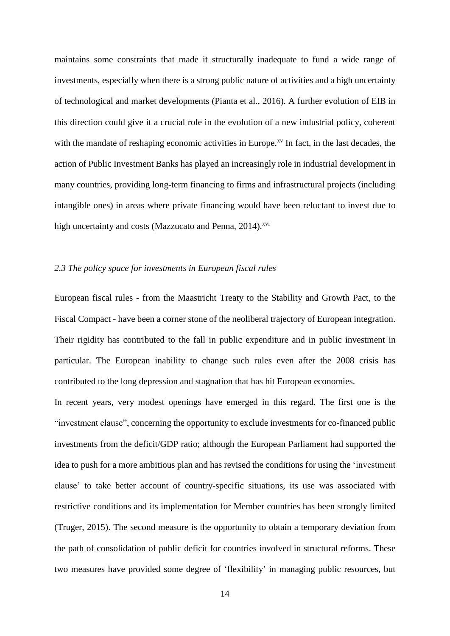maintains some constraints that made it structurally inadequate to fund a wide range of investments, especially when there is a strong public nature of activities and a high uncertainty of technological and market developments (Pianta et al., 2016). A further evolution of EIB in this direction could give it a crucial role in the evolution of a new industrial policy, coherent with the mandate of reshaping economic activities in Europe.<sup>xv</sup> In fact, in the last decades, the action of Public Investment Banks has played an increasingly role in industrial development in many countries, providing long-term financing to firms and infrastructural projects (including intangible ones) in areas where private financing would have been reluctant to invest due to high uncertainty and costs (Mazzucato and Penna, 2014).<sup>xvi</sup>

## *2.3 The policy space for investments in European fiscal rules*

European fiscal rules - from the Maastricht Treaty to the Stability and Growth Pact, to the Fiscal Compact - have been a corner stone of the neoliberal trajectory of European integration. Their rigidity has contributed to the fall in public expenditure and in public investment in particular. The European inability to change such rules even after the 2008 crisis has contributed to the long depression and stagnation that has hit European economies.

In recent years, very modest openings have emerged in this regard. The first one is the "investment clause", concerning the opportunity to exclude investments for co-financed public investments from the deficit/GDP ratio; although the European Parliament had supported the idea to push for a more ambitious plan and has revised the conditions for using the 'investment clause' to take better account of country-specific situations, its use was associated with restrictive conditions and its implementation for Member countries has been strongly limited (Truger, 2015). The second measure is the opportunity to obtain a temporary deviation from the path of consolidation of public deficit for countries involved in structural reforms. These two measures have provided some degree of 'flexibility' in managing public resources, but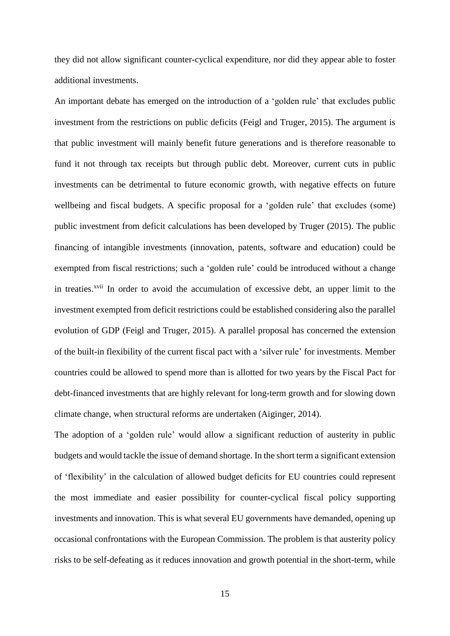they did not allow significant counter-cyclical expenditure, nor did they appear able to foster additional investments.

An important debate has emerged on the introduction of a 'golden rule' that excludes public investment from the restrictions on public deficits (Feigl and Truger, 2015). The argument is that public investment will mainly benefit future generations and is therefore reasonable to fund it not through tax receipts but through public debt. Moreover, current cuts in public investments can be detrimental to future economic growth, with negative effects on future wellbeing and fiscal budgets. A specific proposal for a 'golden rule' that excludes (some) public investment from deficit calculations has been developed by Truger (2015). The public financing of intangible investments (innovation, patents, software and education) could be exempted from fiscal restrictions; such a 'golden rule' could be introduced without a change in treaties.<sup>xvii</sup> In order to avoid the accumulation of excessive debt, an upper limit to the investment exempted from deficit restrictions could be established considering also the parallel evolution of GDP (Feigl and Truger, 2015). A parallel proposal has concerned the extension of the built-in flexibility of the current fiscal pact with a 'silver rule' for investments. Member countries could be allowed to spend more than is allotted for two years by the Fiscal Pact for debt-financed investments that are highly relevant for long-term growth and for slowing down climate change, when structural reforms are undertaken (Aiginger, 2014).

The adoption of a 'golden rule' would allow a significant reduction of austerity in public budgets and would tackle the issue of demand shortage. In the short term a significant extension of 'flexibility' in the calculation of allowed budget deficits for EU countries could represent the most immediate and easier possibility for counter-cyclical fiscal policy supporting investments and innovation. This is what several EU governments have demanded, opening up occasional confrontations with the European Commission. The problem is that austerity policy risks to be self-defeating as it reduces innovation and growth potential in the short-term, while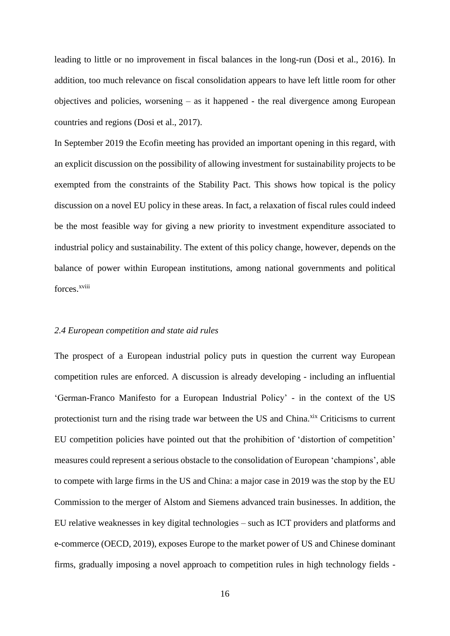leading to little or no improvement in fiscal balances in the long-run (Dosi et al., 2016). In addition, too much relevance on fiscal consolidation appears to have left little room for other objectives and policies, worsening – as it happened - the real divergence among European countries and regions (Dosi et al., 2017).

In September 2019 the Ecofin meeting has provided an important opening in this regard, with an explicit discussion on the possibility of allowing investment for sustainability projects to be exempted from the constraints of the Stability Pact. This shows how topical is the policy discussion on a novel EU policy in these areas. In fact, a relaxation of fiscal rules could indeed be the most feasible way for giving a new priority to investment expenditure associated to industrial policy and sustainability. The extent of this policy change, however, depends on the balance of power within European institutions, among national governments and political forces<sup>xviii</sup>

### *2.4 European competition and state aid rules*

The prospect of a European industrial policy puts in question the current way European competition rules are enforced. A discussion is already developing - including an influential 'German-Franco Manifesto for a European Industrial Policy' - in the context of the US protectionist turn and the rising trade war between the US and China.<sup>xix</sup> Criticisms to current EU competition policies have pointed out that the prohibition of 'distortion of competition' measures could represent a serious obstacle to the consolidation of European 'champions', able to compete with large firms in the US and China: a major case in 2019 was the stop by the EU Commission to the merger of Alstom and Siemens advanced train businesses. In addition, the EU relative weaknesses in key digital technologies – such as ICT providers and platforms and e-commerce (OECD, 2019), exposes Europe to the market power of US and Chinese dominant firms, gradually imposing a novel approach to competition rules in high technology fields -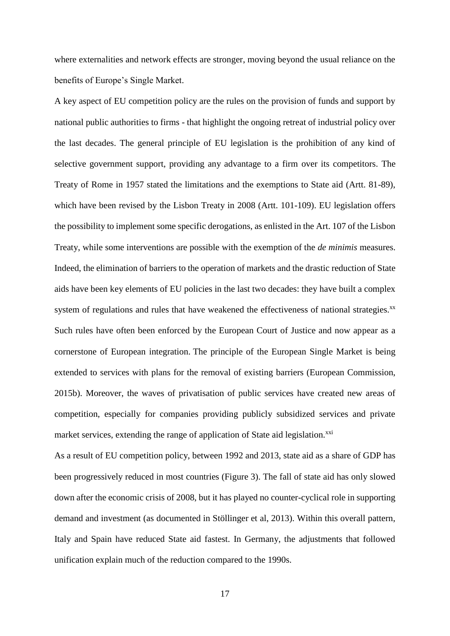where externalities and network effects are stronger, moving beyond the usual reliance on the benefits of Europe's Single Market.

A key aspect of EU competition policy are the rules on the provision of funds and support by national public authorities to firms - that highlight the ongoing retreat of industrial policy over the last decades. The general principle of EU legislation is the prohibition of any kind of selective government support, providing any advantage to a firm over its competitors. The Treaty of Rome in 1957 stated the limitations and the exemptions to State aid (Artt. 81-89), which have been revised by the Lisbon Treaty in 2008 (Artt. 101-109). EU legislation offers the possibility to implement some specific derogations, as enlisted in the Art. 107 of the Lisbon Treaty, while some interventions are possible with the exemption of the *de minimis* measures. Indeed, the elimination of barriers to the operation of markets and the drastic reduction of State aids have been key elements of EU policies in the last two decades: they have built a complex system of regulations and rules that have weakened the effectiveness of national strategies.<sup>xx</sup> Such rules have often been enforced by the European Court of Justice and now appear as a cornerstone of European integration. The principle of the European Single Market is being extended to services with plans for the removal of existing barriers (European Commission, 2015b). Moreover, the waves of privatisation of public services have created new areas of competition, especially for companies providing publicly subsidized services and private market services, extending the range of application of State aid legislation.<sup>xxi</sup>

As a result of EU competition policy, between 1992 and 2013, state aid as a share of GDP has been progressively reduced in most countries (Figure 3). The fall of state aid has only slowed down after the economic crisis of 2008, but it has played no counter-cyclical role in supporting demand and investment (as documented in Stöllinger et al, 2013). Within this overall pattern, Italy and Spain have reduced State aid fastest. In Germany, the adjustments that followed unification explain much of the reduction compared to the 1990s.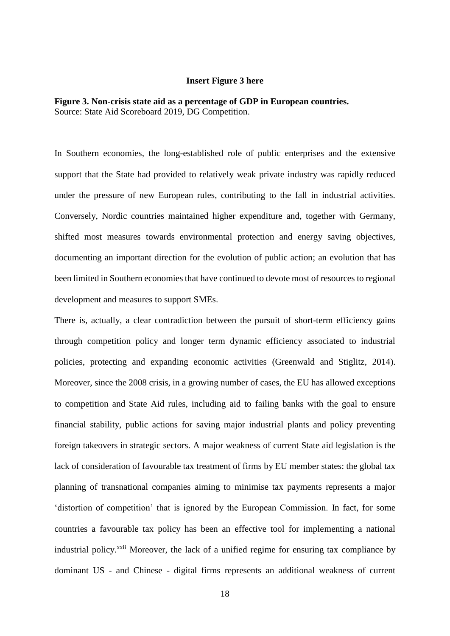#### **Insert Figure 3 here**

**Figure 3. Non-crisis state aid as a percentage of GDP in European countries.** Source: State Aid Scoreboard 2019, DG Competition.

In Southern economies, the long-established role of public enterprises and the extensive support that the State had provided to relatively weak private industry was rapidly reduced under the pressure of new European rules, contributing to the fall in industrial activities. Conversely, Nordic countries maintained higher expenditure and, together with Germany, shifted most measures towards environmental protection and energy saving objectives, documenting an important direction for the evolution of public action; an evolution that has been limited in Southern economies that have continued to devote most of resources to regional development and measures to support SMEs.

There is, actually, a clear contradiction between the pursuit of short-term efficiency gains through competition policy and longer term dynamic efficiency associated to industrial policies, protecting and expanding economic activities (Greenwald and Stiglitz, 2014). Moreover, since the 2008 crisis, in a growing number of cases, the EU has allowed exceptions to competition and State Aid rules, including aid to failing banks with the goal to ensure financial stability, public actions for saving major industrial plants and policy preventing foreign takeovers in strategic sectors. A major weakness of current State aid legislation is the lack of consideration of favourable tax treatment of firms by EU member states: the global tax planning of transnational companies aiming to minimise tax payments represents a major 'distortion of competition' that is ignored by the European Commission. In fact, for some countries a favourable tax policy has been an effective tool for implementing a national industrial policy.<sup>xxii</sup> Moreover, the lack of a unified regime for ensuring tax compliance by dominant US - and Chinese - digital firms represents an additional weakness of current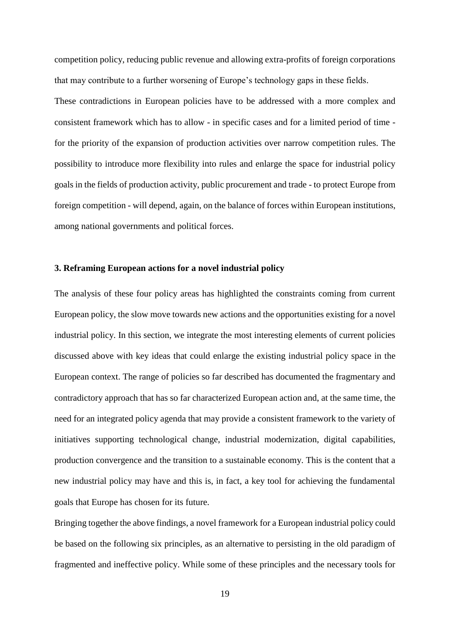competition policy, reducing public revenue and allowing extra-profits of foreign corporations that may contribute to a further worsening of Europe's technology gaps in these fields.

These contradictions in European policies have to be addressed with a more complex and consistent framework which has to allow - in specific cases and for a limited period of time for the priority of the expansion of production activities over narrow competition rules. The possibility to introduce more flexibility into rules and enlarge the space for industrial policy goals in the fields of production activity, public procurement and trade - to protect Europe from foreign competition - will depend, again, on the balance of forces within European institutions, among national governments and political forces.

### **3. Reframing European actions for a novel industrial policy**

The analysis of these four policy areas has highlighted the constraints coming from current European policy, the slow move towards new actions and the opportunities existing for a novel industrial policy. In this section, we integrate the most interesting elements of current policies discussed above with key ideas that could enlarge the existing industrial policy space in the European context. The range of policies so far described has documented the fragmentary and contradictory approach that has so far characterized European action and, at the same time, the need for an integrated policy agenda that may provide a consistent framework to the variety of initiatives supporting technological change, industrial modernization, digital capabilities, production convergence and the transition to a sustainable economy. This is the content that a new industrial policy may have and this is, in fact, a key tool for achieving the fundamental goals that Europe has chosen for its future.

Bringing together the above findings, a novel framework for a European industrial policy could be based on the following six principles, as an alternative to persisting in the old paradigm of fragmented and ineffective policy. While some of these principles and the necessary tools for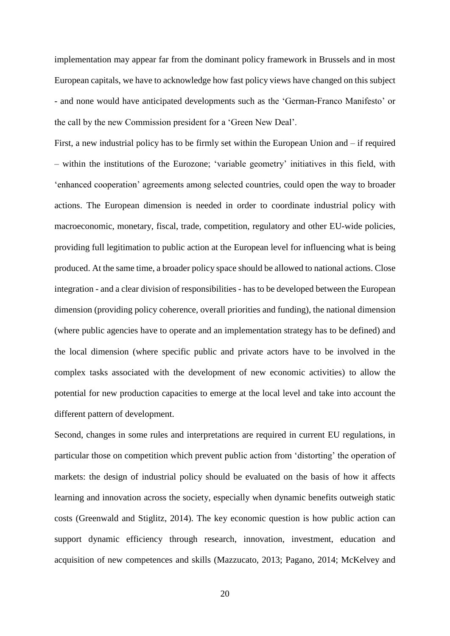implementation may appear far from the dominant policy framework in Brussels and in most European capitals, we have to acknowledge how fast policy views have changed on this subject - and none would have anticipated developments such as the 'German-Franco Manifesto' or the call by the new Commission president for a 'Green New Deal'.

First, a new industrial policy has to be firmly set within the European Union and – if required – within the institutions of the Eurozone; 'variable geometry' initiatives in this field, with 'enhanced cooperation' agreements among selected countries, could open the way to broader actions. The European dimension is needed in order to coordinate industrial policy with macroeconomic, monetary, fiscal, trade, competition, regulatory and other EU-wide policies, providing full legitimation to public action at the European level for influencing what is being produced. At the same time, a broader policy space should be allowed to national actions. Close integration - and a clear division of responsibilities - has to be developed between the European dimension (providing policy coherence, overall priorities and funding), the national dimension (where public agencies have to operate and an implementation strategy has to be defined) and the local dimension (where specific public and private actors have to be involved in the complex tasks associated with the development of new economic activities) to allow the potential for new production capacities to emerge at the local level and take into account the different pattern of development.

Second, changes in some rules and interpretations are required in current EU regulations, in particular those on competition which prevent public action from 'distorting' the operation of markets: the design of industrial policy should be evaluated on the basis of how it affects learning and innovation across the society, especially when dynamic benefits outweigh static costs (Greenwald and Stiglitz, 2014). The key economic question is how public action can support dynamic efficiency through research, innovation, investment, education and acquisition of new competences and skills (Mazzucato, 2013; Pagano, 2014; McKelvey and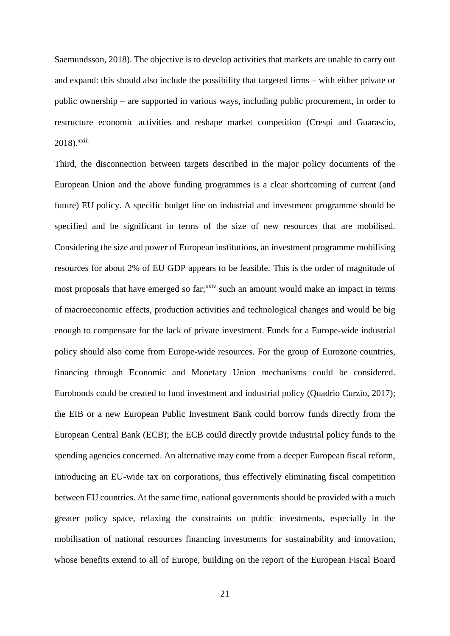Saemundsson, 2018). The objective is to develop activities that markets are unable to carry out and expand: this should also include the possibility that targeted firms – with either private or public ownership – are supported in various ways, including public procurement, in order to restructure economic activities and reshape market competition (Crespi and Guarascio, 2018).<sup>xxiii</sup>

Third, the disconnection between targets described in the major policy documents of the European Union and the above funding programmes is a clear shortcoming of current (and future) EU policy. A specific budget line on industrial and investment programme should be specified and be significant in terms of the size of new resources that are mobilised. Considering the size and power of European institutions, an investment programme mobilising resources for about 2% of EU GDP appears to be feasible. This is the order of magnitude of most proposals that have emerged so far;<sup>xxiv</sup> such an amount would make an impact in terms of macroeconomic effects, production activities and technological changes and would be big enough to compensate for the lack of private investment. Funds for a Europe-wide industrial policy should also come from Europe-wide resources. For the group of Eurozone countries, financing through Economic and Monetary Union mechanisms could be considered. Eurobonds could be created to fund investment and industrial policy (Quadrio Curzio, 2017); the EIB or a new European Public Investment Bank could borrow funds directly from the European Central Bank (ECB); the ECB could directly provide industrial policy funds to the spending agencies concerned. An alternative may come from a deeper European fiscal reform, introducing an EU-wide tax on corporations, thus effectively eliminating fiscal competition between EU countries. At the same time, national governments should be provided with a much greater policy space, relaxing the constraints on public investments, especially in the mobilisation of national resources financing investments for sustainability and innovation, whose benefits extend to all of Europe, building on the report of the European Fiscal Board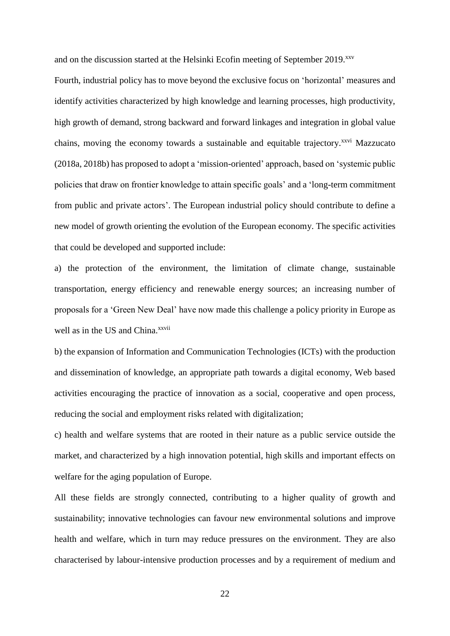and on the discussion started at the Helsinki Ecofin meeting of September 2019.<sup>xxv</sup>

Fourth, industrial policy has to move beyond the exclusive focus on 'horizontal' measures and identify activities characterized by high knowledge and learning processes, high productivity, high growth of demand, strong backward and forward linkages and integration in global value chains, moving the economy towards a sustainable and equitable trajectory.<sup>xxvi</sup> Mazzucato (2018a, 2018b) has proposed to adopt a 'mission-oriented' approach, based on 'systemic public policies that draw on frontier knowledge to attain specific goals' and a 'long-term commitment from public and private actors'. The European industrial policy should contribute to define a new model of growth orienting the evolution of the European economy. The specific activities that could be developed and supported include:

a) the protection of the environment, the limitation of climate change, sustainable transportation, energy efficiency and renewable energy sources; an increasing number of proposals for a 'Green New Deal' have now made this challenge a policy priority in Europe as well as in the US and China.<sup>xxvii</sup>

b) the expansion of Information and Communication Technologies (ICTs) with the production and dissemination of knowledge, an appropriate path towards a digital economy, Web based activities encouraging the practice of innovation as a social, cooperative and open process, reducing the social and employment risks related with digitalization;

c) health and welfare systems that are rooted in their nature as a public service outside the market, and characterized by a high innovation potential, high skills and important effects on welfare for the aging population of Europe.

All these fields are strongly connected, contributing to a higher quality of growth and sustainability; innovative technologies can favour new environmental solutions and improve health and welfare, which in turn may reduce pressures on the environment. They are also characterised by labour-intensive production processes and by a requirement of medium and

22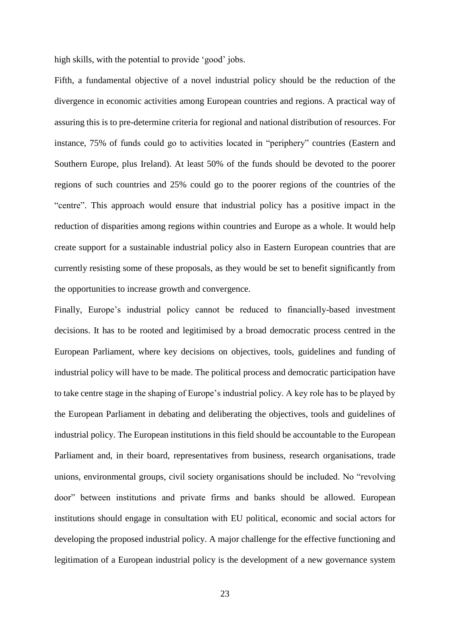high skills, with the potential to provide 'good' jobs.

Fifth, a fundamental objective of a novel industrial policy should be the reduction of the divergence in economic activities among European countries and regions. A practical way of assuring this is to pre-determine criteria for regional and national distribution of resources. For instance, 75% of funds could go to activities located in "periphery" countries (Eastern and Southern Europe, plus Ireland). At least 50% of the funds should be devoted to the poorer regions of such countries and 25% could go to the poorer regions of the countries of the "centre". This approach would ensure that industrial policy has a positive impact in the reduction of disparities among regions within countries and Europe as a whole. It would help create support for a sustainable industrial policy also in Eastern European countries that are currently resisting some of these proposals, as they would be set to benefit significantly from the opportunities to increase growth and convergence.

Finally, Europe's industrial policy cannot be reduced to financially-based investment decisions. It has to be rooted and legitimised by a broad democratic process centred in the European Parliament, where key decisions on objectives, tools, guidelines and funding of industrial policy will have to be made. The political process and democratic participation have to take centre stage in the shaping of Europe's industrial policy. A key role has to be played by the European Parliament in debating and deliberating the objectives, tools and guidelines of industrial policy. The European institutions in this field should be accountable to the European Parliament and, in their board, representatives from business, research organisations, trade unions, environmental groups, civil society organisations should be included. No "revolving door" between institutions and private firms and banks should be allowed. European institutions should engage in consultation with EU political, economic and social actors for developing the proposed industrial policy. A major challenge for the effective functioning and legitimation of a European industrial policy is the development of a new governance system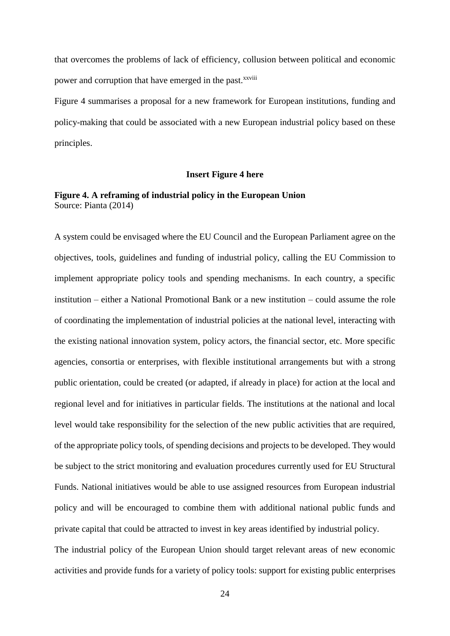that overcomes the problems of lack of efficiency, collusion between political and economic power and corruption that have emerged in the past.<sup>xxviii</sup>

Figure 4 summarises a proposal for a new framework for European institutions, funding and policy-making that could be associated with a new European industrial policy based on these principles.

### **Insert Figure 4 here**

# **Figure 4. A reframing of industrial policy in the European Union** Source: Pianta (2014)

A system could be envisaged where the EU Council and the European Parliament agree on the objectives, tools, guidelines and funding of industrial policy, calling the EU Commission to implement appropriate policy tools and spending mechanisms. In each country, a specific institution – either a National Promotional Bank or a new institution – could assume the role of coordinating the implementation of industrial policies at the national level, interacting with the existing national innovation system, policy actors, the financial sector, etc. More specific agencies, consortia or enterprises, with flexible institutional arrangements but with a strong public orientation, could be created (or adapted, if already in place) for action at the local and regional level and for initiatives in particular fields. The institutions at the national and local level would take responsibility for the selection of the new public activities that are required, of the appropriate policy tools, of spending decisions and projects to be developed. They would be subject to the strict monitoring and evaluation procedures currently used for EU Structural Funds. National initiatives would be able to use assigned resources from European industrial policy and will be encouraged to combine them with additional national public funds and private capital that could be attracted to invest in key areas identified by industrial policy. The industrial policy of the European Union should target relevant areas of new economic activities and provide funds for a variety of policy tools: support for existing public enterprises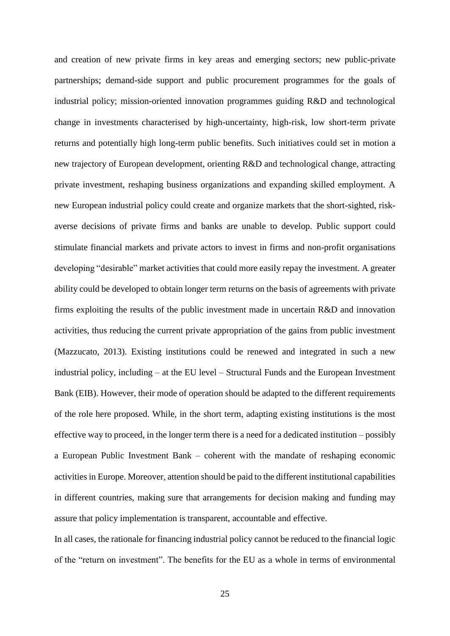and creation of new private firms in key areas and emerging sectors; new public-private partnerships; demand-side support and public procurement programmes for the goals of industrial policy; mission-oriented innovation programmes guiding R&D and technological change in investments characterised by high-uncertainty, high-risk, low short-term private returns and potentially high long-term public benefits. Such initiatives could set in motion a new trajectory of European development, orienting R&D and technological change, attracting private investment, reshaping business organizations and expanding skilled employment. A new European industrial policy could create and organize markets that the short-sighted, riskaverse decisions of private firms and banks are unable to develop. Public support could stimulate financial markets and private actors to invest in firms and non-profit organisations developing "desirable" market activities that could more easily repay the investment. A greater ability could be developed to obtain longer term returns on the basis of agreements with private firms exploiting the results of the public investment made in uncertain R&D and innovation activities, thus reducing the current private appropriation of the gains from public investment (Mazzucato, 2013). Existing institutions could be renewed and integrated in such a new industrial policy, including – at the EU level – Structural Funds and the European Investment Bank (EIB). However, their mode of operation should be adapted to the different requirements of the role here proposed. While, in the short term, adapting existing institutions is the most effective way to proceed, in the longer term there is a need for a dedicated institution – possibly a European Public Investment Bank – coherent with the mandate of reshaping economic activities in Europe. Moreover, attention should be paid to the different institutional capabilities in different countries, making sure that arrangements for decision making and funding may assure that policy implementation is transparent, accountable and effective.

In all cases, the rationale for financing industrial policy cannot be reduced to the financial logic of the "return on investment". The benefits for the EU as a whole in terms of environmental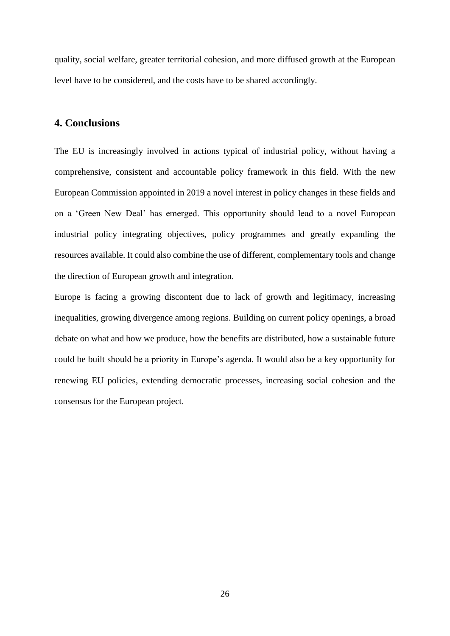quality, social welfare, greater territorial cohesion, and more diffused growth at the European level have to be considered, and the costs have to be shared accordingly.

# **4. Conclusions**

The EU is increasingly involved in actions typical of industrial policy, without having a comprehensive, consistent and accountable policy framework in this field. With the new European Commission appointed in 2019 a novel interest in policy changes in these fields and on a 'Green New Deal' has emerged. This opportunity should lead to a novel European industrial policy integrating objectives, policy programmes and greatly expanding the resources available. It could also combine the use of different, complementary tools and change the direction of European growth and integration.

Europe is facing a growing discontent due to lack of growth and legitimacy, increasing inequalities, growing divergence among regions. Building on current policy openings, a broad debate on what and how we produce, how the benefits are distributed, how a sustainable future could be built should be a priority in Europe's agenda. It would also be a key opportunity for renewing EU policies, extending democratic processes, increasing social cohesion and the consensus for the European project.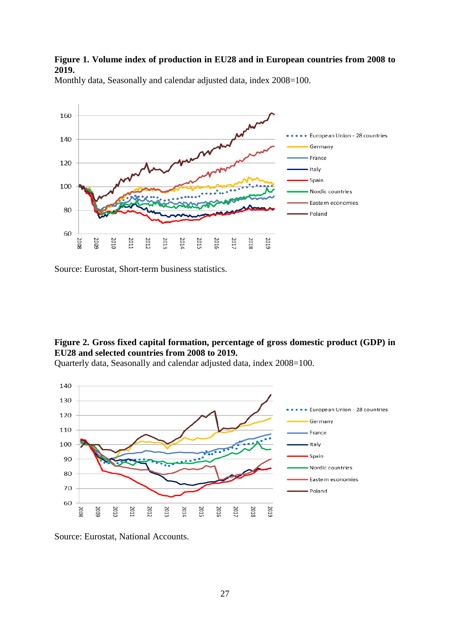## **Figure 1. Volume index of production in EU28 and in European countries from 2008 to 2019.**

Monthly data, Seasonally and calendar adjusted data, index  $2008=100$ .



Source: Eurostat, Short-term business statistics.

# **Figure 2. Gross fixed capital formation, percentage of gross domestic product (GDP) in EU28 and selected countries from 2008 to 2019.**

Quarterly data, Seasonally and calendar adjusted data, index 2008=100.



Source: Eurostat, National Accounts.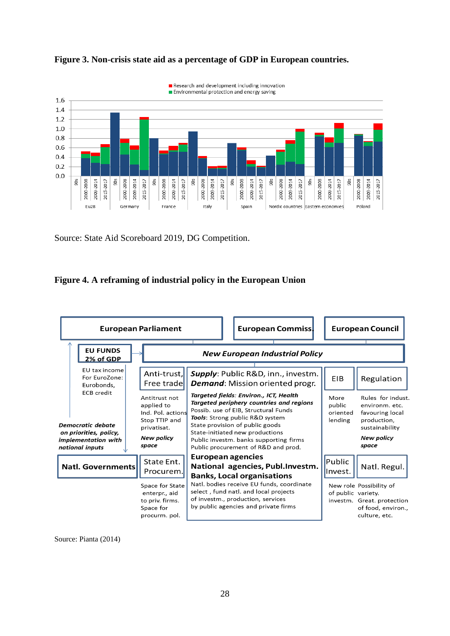

# **Figure 3. Non-crisis state aid as a percentage of GDP in European countries.**

Source: State Aid Scoreboard 2019, DG Competition.

# **Figure 4. A reframing of industrial policy in the European Union**



Source: Pianta (2014)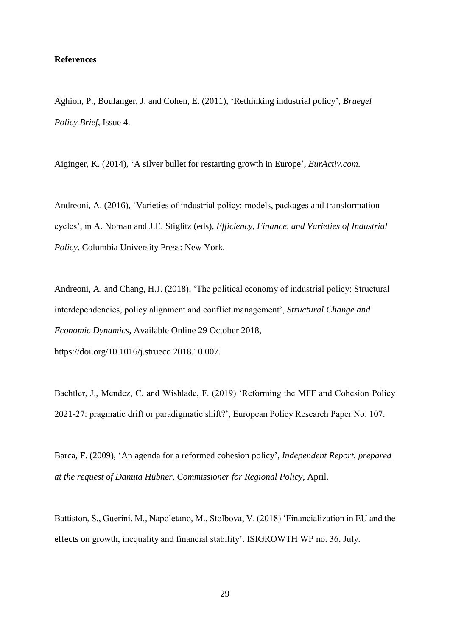### **References**

Aghion, P., Boulanger, J. and Cohen, E. (2011), 'Rethinking industrial policy', *Bruegel Policy Brief*, Issue 4.

Aiginger, K. (2014), 'A silver bullet for restarting growth in Europe', *EurActiv.com*.

Andreoni, A. (2016), 'Varieties of industrial policy: models, packages and transformation cycles', in A. Noman and J.E. Stiglitz (eds), *Efficiency, Finance, and Varieties of Industrial Policy*. Columbia University Press: New York.

Andreoni, A. and Chang, H.J. (2018), 'The political economy of industrial policy: Structural interdependencies, policy alignment and conflict management', *Structural Change and Economic Dynamics*, Available Online 29 October 2018, https://doi.org/10.1016/j.strueco.2018.10.007.

Bachtler, J., Mendez, C. and Wishlade, F. (2019) 'Reforming the MFF and Cohesion Policy 2021-27: pragmatic drift or paradigmatic shift?', European Policy Research Paper No. 107.

Barca, F. (2009), 'An agenda for a reformed cohesion policy', *Independent Report. prepared at the request of Danuta Hübner, Commissioner for Regional Policy*, April.

Battiston, S., Guerini, M., Napoletano, M., Stolbova, V. (2018) 'Financialization in EU and the effects on growth, inequality and financial stability'. ISIGROWTH WP no. 36, July.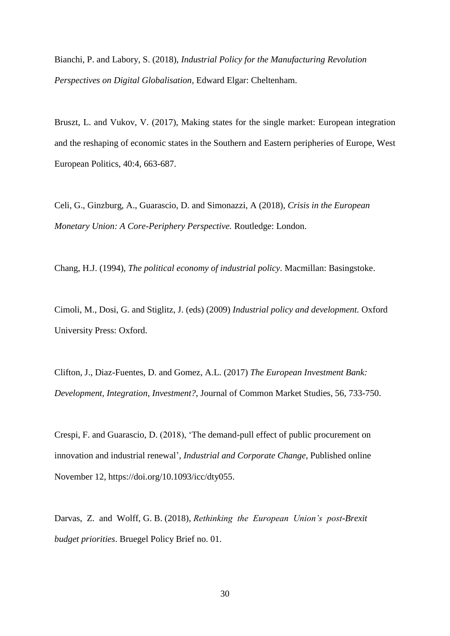Bianchi, P. and Labory, S. (2018), *Industrial Policy for the Manufacturing Revolution Perspectives on Digital Globalisation*, Edward Elgar: Cheltenham.

Bruszt, L. and Vukov, V. (2017), Making states for the single market: European integration and the reshaping of economic states in the Southern and Eastern peripheries of Europe, West European Politics, 40:4, 663-687.

Celi, G., Ginzburg, A., Guarascio, D. and Simonazzi, A (2018), *Crisis in the European Monetary Union: A Core-Periphery Perspective.* Routledge: London.

Chang, H.J. (1994), *The political economy of industrial policy.* Macmillan: Basingstoke.

Cimoli, M., Dosi, G. and Stiglitz, J. (eds) (2009) *Industrial policy and development.* Oxford University Press: Oxford.

Clifton, J., Diaz-Fuentes, D. and Gomez, A.L. (2017) *The European Investment Bank: Development, Integration, Investment?*, Journal of Common Market Studies, 56, 733-750.

Crespi, F. and Guarascio, D. (2018), 'The demand-pull effect of public procurement on innovation and industrial renewal', *Industrial and Corporate Change*, Published online November 12, [https://doi.org/10.1093/icc/dty055.](https://doi.org/10.1093/icc/dty055)

Darvas, Z. and Wolff, G. B. (2018), *Rethinking the European Union's post-Brexit budget priorities*. Bruegel Policy Brief no. 01.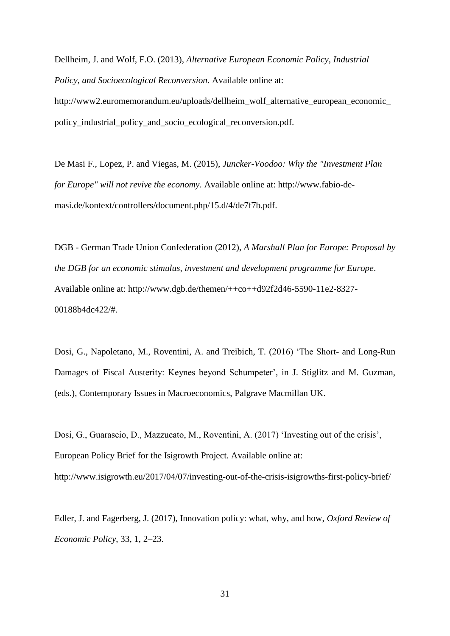Dellheim, J. and Wolf, F.O. (2013), *Alternative European Economic Policy, Industrial Policy, and Socioecological Reconversion*. Available online at: http://www2.euromemorandum.eu/uploads/dellheim\_wolf\_alternative\_european\_economic\_ policy\_industrial\_policy\_and\_socio\_ecological\_reconversion.pdf.

De Masi F., Lopez, P. and Viegas, M. (2015), *Juncker-Voodoo: Why the "Investment Plan for Europe" will not revive the economy*. Available online at: http://www.fabio-demasi.de/kontext/controllers/document.php/15.d/4/de7f7b.pdf.

DGB - German Trade Union Confederation (2012), *A Marshall Plan for Europe: Proposal by the DGB for an economic stimulus, investment and development programme for Europe*. Available online at: http://www.dgb.de/themen/++co++d92f2d46-5590-11e2-8327- 00188b4dc422/#.

Dosi, G., Napoletano, M., Roventini, A. and Treibich, T. (2016) 'The Short- and Long-Run Damages of Fiscal Austerity: Keynes beyond Schumpeter', in J. Stiglitz and M. Guzman, (eds.), Contemporary Issues in Macroeconomics, Palgrave Macmillan UK.

Dosi, G., Guarascio, D., Mazzucato, M., Roventini, A. (2017) 'Investing out of the crisis', European Policy Brief for the Isigrowth Project. Available online at: http://www.isigrowth.eu/2017/04/07/investing-out-of-the-crisis-isigrowths-first-policy-brief/

Edler, J. and Fagerberg, J. (2017), Innovation policy: what, why, and how, *Oxford Review of Economic Policy*, 33, 1, 2–23.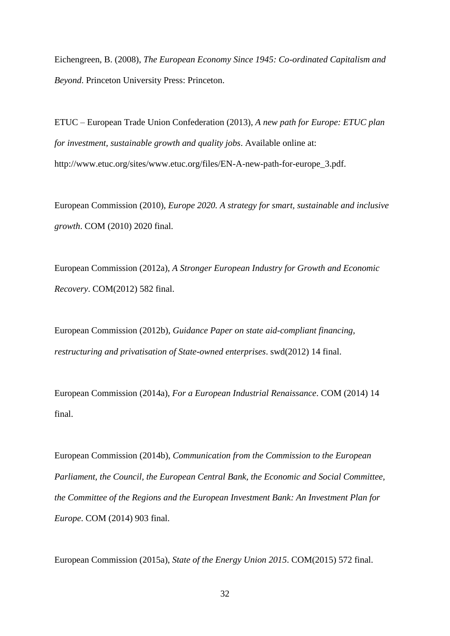Eichengreen, B. (2008), *The European Economy Since 1945: Co-ordinated Capitalism and Beyond*. Princeton University Press: Princeton.

ETUC – European Trade Union Confederation (2013), *A new path for Europe: ETUC plan for investment, sustainable growth and quality jobs*. Available online at: http://www.etuc.org/sites/www.etuc.org/files/EN-A-new-path-for-europe\_3.pdf.

European Commission (2010), *Europe 2020. A strategy for smart, sustainable and inclusive growth*. COM (2010) 2020 final.

European Commission (2012a), *A Stronger European Industry for Growth and Economic Recovery*. COM(2012) 582 final.

European Commission (2012b), *Guidance Paper on state aid-compliant financing, restructuring and privatisation of State-owned enterprises*. swd(2012) 14 final.

European Commission (2014a), *For a European Industrial Renaissance*. COM (2014) 14 final.

European Commission (2014b), *Communication from the Commission to the European Parliament, the Council, the European Central Bank, the Economic and Social Committee, the Committee of the Regions and the European Investment Bank: An Investment Plan for Europe*. COM (2014) 903 final.

European Commission (2015a), *State of the Energy Union 2015*. COM(2015) 572 final.

32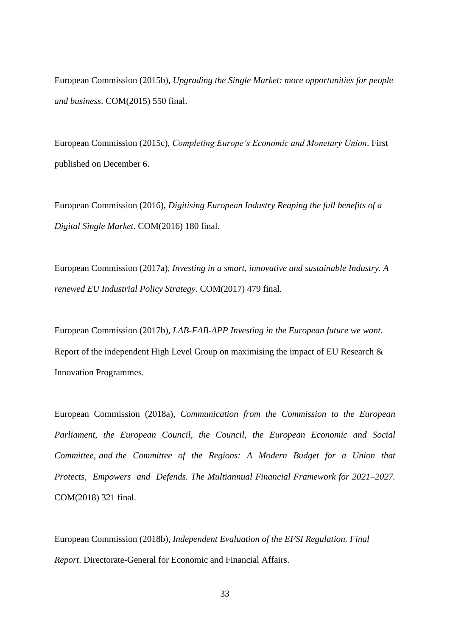European Commission (2015b), *Upgrading the Single Market: more opportunities for people and business*. COM(2015) 550 final.

European Commission (2015c), *Completing Europe's Economic and Monetary Union*. First published on December 6.

European Commission (2016), *Digitising European Industry Reaping the full benefits of a Digital Single Market*. COM(2016) 180 final.

European Commission (2017a), *Investing in a smart, innovative and sustainable Industry. A renewed EU Industrial Policy Strategy*. COM(2017) 479 final.

European Commission (2017b), *LAB-FAB-APP Investing in the European future we want*. Report of the independent High Level Group on maximising the impact of EU Research & Innovation Programmes.

European Commission (2018a), *Communication from the Commission to the European Parliament, the European Council, the Council, the European Economic and Social Committee, and the Committee of the Regions: A Modern Budget for a Union that Protects, Empowers and Defends. The Multiannual Financial Framework for 2021–2027.* COM(2018) 321 final.

European Commission (2018b), *Independent Evaluation of the EFSI Regulation. Final Report*. Directorate-General for Economic and Financial Affairs.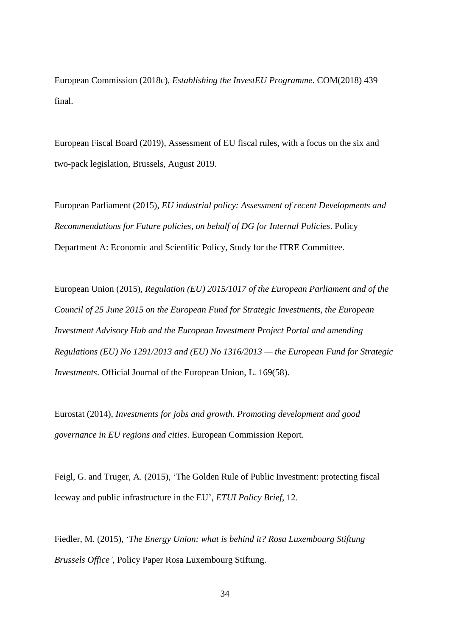European Commission (2018c), *Establishing the InvestEU Programme*. COM(2018) 439 final.

European Fiscal Board (2019), Assessment of EU fiscal rules, with a focus on the six and two-pack legislation, Brussels, August 2019.

European Parliament (2015), *EU industrial policy: Assessment of recent Developments and Recommendations for Future policies, on behalf of DG for Internal Policies*. Policy Department A: Economic and Scientific Policy, Study for the ITRE Committee.

European Union (2015), *Regulation (EU) 2015/1017 of the European Parliament and of the Council of 25 June 2015 on the European Fund for Strategic Investments, the European Investment Advisory Hub and the European Investment Project Portal and amending Regulations (EU) No 1291/2013 and (EU) No 1316/2013 — the European Fund for Strategic Investments*. Official Journal of the European Union, L. 169(58).

Eurostat (2014), *Investments for jobs and growth. Promoting development and good governance in EU regions and cities*. European Commission Report.

Feigl, G. and Truger, A. (2015), 'The Golden Rule of Public Investment: protecting fiscal leeway and public infrastructure in the EU', *ETUI Policy Brief,* 12.

Fiedler, M. (2015), '*The Energy Union: what is behind it? Rosa Luxembourg Stiftung Brussels Office'*, Policy Paper Rosa Luxembourg Stiftung.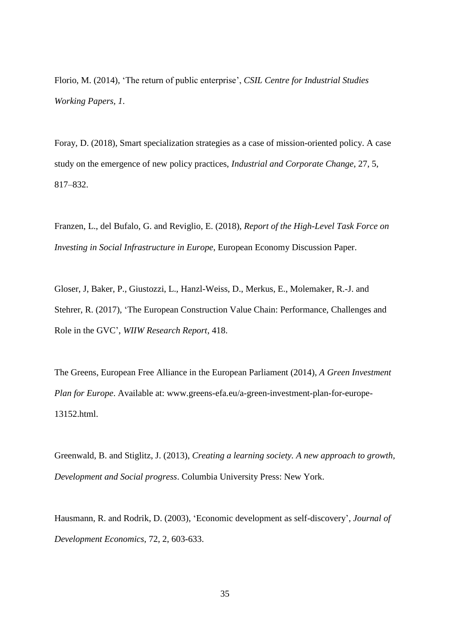Florio, M. (2014), 'The return of public enterprise', *CSIL Centre for Industrial Studies [Working Papers,](https://ideas.repec.org/s/mst/wpaper.html) 1*.

Foray, D. (2018), Smart specialization strategies as a case of mission-oriented policy. A case study on the emergence of new policy practices, *Industrial and Corporate Change*, 27, 5, 817–832.

Franzen, L., del Bufalo, G. and Reviglio, E. (2018), *Report of the High-Level Task Force on Investing in Social Infrastructure in Europe*, European Economy Discussion Paper.

Gloser, J, Baker, P., Giustozzi, L., Hanzl-Weiss, D., Merkus, E., Molemaker, R.-J. and Stehrer, R. (2017), 'The European Construction Value Chain: Performance, Challenges and Role in the GVC', *WIIW Research Report*, 418.

The Greens, European Free Alliance in the European Parliament (2014), *A Green Investment Plan for Europe*. Available at: [www.greens-efa.eu/a-green-investment-plan-for-europe-](http://www.greens-efa.eu/a-green-investment-plan-for-europe-13152.html)[13152.html.](http://www.greens-efa.eu/a-green-investment-plan-for-europe-13152.html)

Greenwald, B. and Stiglitz, J. (2013), *Creating a learning society. A new approach to growth, Development and Social progress*. Columbia University Press: New York.

Hausmann, R. and Rodrik, D. (2003), 'Economic development as self-discovery', *Journal of Development Economics*, 72, 2, 603-633.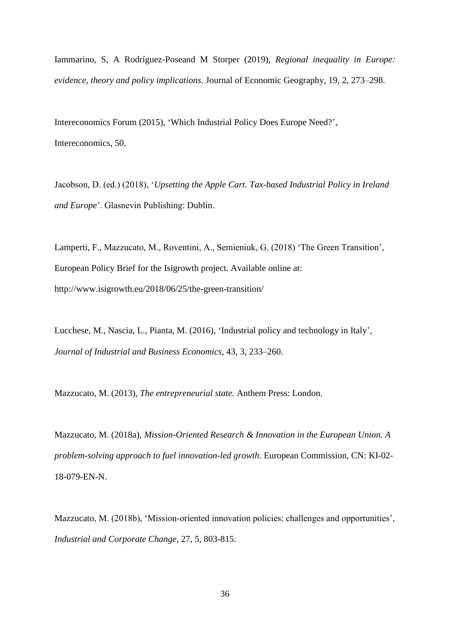Iammarino, S, A Rodríguez-Poseand M Storper (2019), *[Regional inequality in Europe:](https://doi.org/10.1093/jeg/lby021) [evidence, theory and policy implications](https://doi.org/10.1093/jeg/lby021)*. Journal of Economic Geography, 19, 2, 273–298.

Intereconomics Forum (2015), 'Which Industrial Policy Does Europe Need?', Intereconomics, 50.

Jacobson, D. (ed.) (2018), '*Upsetting the Apple Cart. Tax-based Industrial Policy in Ireland and Europe*'. Glasnevin Publishing: Dublin.

Lamperti, F., Mazzucato, M., Roventini, A., Semieniuk, G. (2018) 'The Green Transition', European Policy Brief for the Isigrowth project. Available online at: http://www.isigrowth.eu/2018/06/25/the-green-transition/

Lucchese, M., Nascia, L., Pianta, M. (2016), 'Industrial policy and technology in Italy', *Journal of Industrial and Business Economics*, 43, 3, 233–260.

Mazzucato, M. (2013), *The entrepreneurial state.* Anthem Press: London.

Mazzucato, M. (2018a), *Mission-Oriented Research & Innovation in the European Union. A problem-solving approach to fuel innovation-led growth.* European Commission, CN: KI-02- 18-079-EN-N.

Mazzucato, M. (2018b), 'Mission-oriented innovation policies: challenges and opportunities', *Industrial and Corporate Change*, 27, 5, 803-815.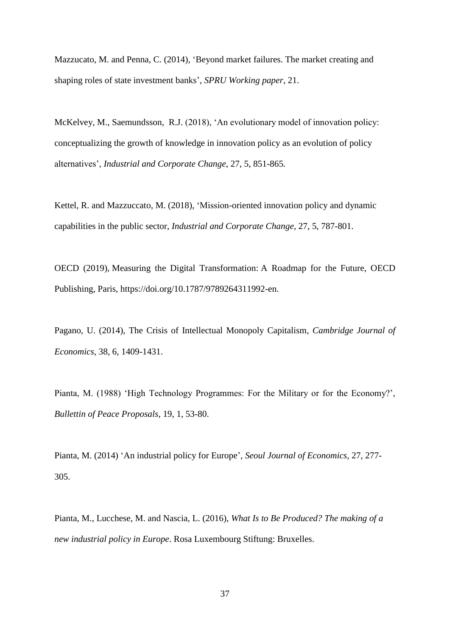Mazzucato, M. and Penna, C. (2014), 'Beyond market failures. The market creating and shaping roles of state investment banks', *SPRU Working paper*, 21.

McKelvey, M., Saemundsson, R.J. (2018), 'An evolutionary model of innovation policy: conceptualizing the growth of knowledge in innovation policy as an evolution of policy alternatives', *Industrial and Corporate Change*, 27, 5, 851-865.

Kettel, R. and Mazzuccato, M. (2018), 'Mission-oriented innovation policy and dynamic capabilities in the public sector, *Industrial and Corporate Change*, 27, 5, 787-801.

OECD (2019), Measuring the Digital Transformation: A Roadmap for the Future, OECD Publishing, Paris, [https://doi.org/10.1787/9789264311992-en.](https://doi.org/10.1787/9789264311992-en)

Pagano, U. (2014), The Crisis of Intellectual Monopoly Capitalism, *Cambridge Journal of Economics,* 38, 6, 1409-1431.

Pianta, M. (1988) 'High Technology Programmes: For the Military or for the Economy?', *Bullettin of Peace Proposals*, 19, 1, 53-80.

Pianta, M. (2014) 'An industrial policy for Europe', *Seoul Journal of Economics*, 27, 277- 305.

Pianta, M., Lucchese, M. and Nascia, L. (2016), *What Is to Be Produced? The making of a new industrial policy in Europe*. Rosa Luxembourg Stiftung: Bruxelles.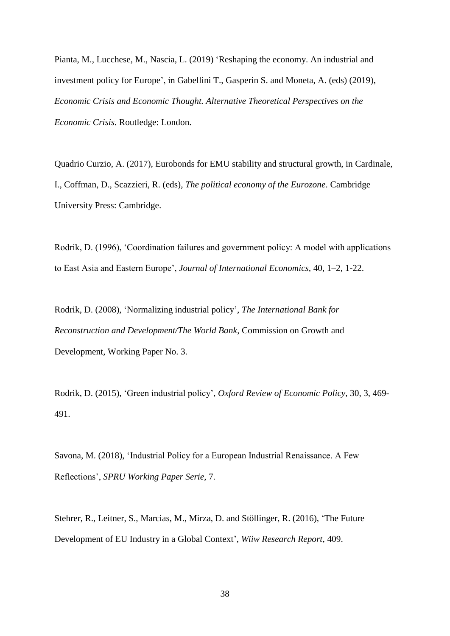Pianta, M., Lucchese, M., Nascia, L. (2019) 'Reshaping the economy. An industrial and investment policy for Europe', in Gabellini T., Gasperin S. and Moneta, A. (eds) (2019), *Economic Crisis and Economic Thought. Alternative Theoretical Perspectives on the Economic Crisis.* Routledge: London.

Quadrio Curzio, A. (2017), Eurobonds for EMU stability and structural growth, in Cardinale, I., Coffman, D., Scazzieri, R. (eds), *The political economy of the Eurozone*. Cambridge University Press: Cambridge.

Rodrik, D. (1996), 'Coordination failures and government policy: A model with applications to East Asia and Eastern Europe', *Journal of International Economics,* 40, 1–2, 1-22.

Rodrik, D. (2008), 'Normalizing industrial policy', *The International Bank for Reconstruction and Development/The World Bank*, Commission on Growth and Development, Working Paper No. 3.

Rodrik, D. (2015), 'Green industrial policy', *Oxford Review of Economic Policy*, 30, 3, 469- 491.

Savona, M. (2018), 'Industrial Policy for a European Industrial Renaissance. A Few Reflections', *SPRU Working Paper Serie*, 7.

Stehrer, R., Leitner, S., Marcias, M., Mirza, D. and Stöllinger, R. (2016), 'The Future Development of EU Industry in a Global Context', *Wiiw Research Report*, 409.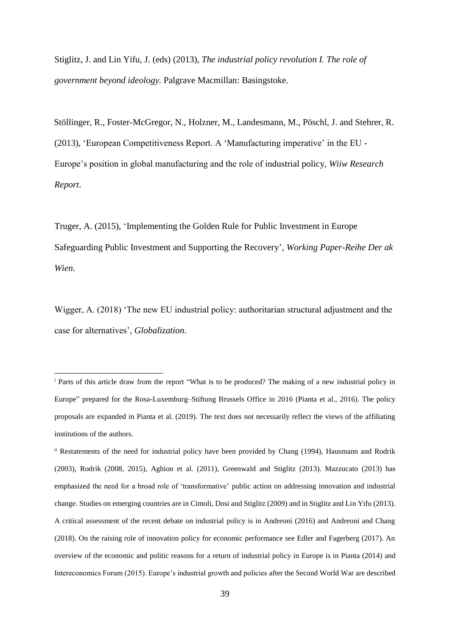Stiglitz, J. and Lin Yifu, J. (eds) (2013), *The industrial policy revolution I. The role of government beyond ideology.* Palgrave Macmillan: Basingstoke.

Stöllinger, R., Foster-McGregor, N., Holzner, M., Landesmann, M., Pöschl, J. and Stehrer, R. (2013), 'European Competitiveness Report. A 'Manufacturing imperative' in the EU - Europe's position in global manufacturing and the role of industrial policy, *Wiiw Research Report*.

Truger, A. (2015), 'Implementing the Golden Rule for Public Investment in Europe Safeguarding Public Investment and Supporting the Recovery', *Working Paper-Reihe Der ak Wien*.

Wigger, A. (2018) 'The new EU industrial policy: authoritarian structural adjustment and the case for alternatives', *Globalization*.

1

<sup>i</sup> Parts of this article draw from the report "What is to be produced? The making of a new industrial policy in Europe" prepared for the Rosa-Luxemburg–Stiftung Brussels Office in 2016 (Pianta et al., 2016). The policy proposals are expanded in Pianta et al. (2019). The text does not necessarily reflect the views of the affiliating institutions of the authors.

ii Restatements of the need for industrial policy have been provided by Chang (1994), Hausmann and Rodrik (2003), Rodrik (2008, 2015), Aghion et al. (2011), Greenwald and Stiglitz (2013). Mazzucato (2013) has emphasized the need for a broad role of 'transformative' public action on addressing innovation and industrial change. Studies on emerging countries are in Cimoli, Dosi and Stiglitz (2009) and in Stiglitz and Lin Yifu (2013). A critical assessment of the recent debate on industrial policy is in Andreoni (2016) and Andreoni and Chang (2018). On the raising role of innovation policy for economic performance see Edler and Fagerberg (2017). An overview of the economic and politic reasons for a return of industrial policy in Europe is in Pianta (2014) and Intereconomics Forum (2015). Europe's industrial growth and policies after the Second World War are described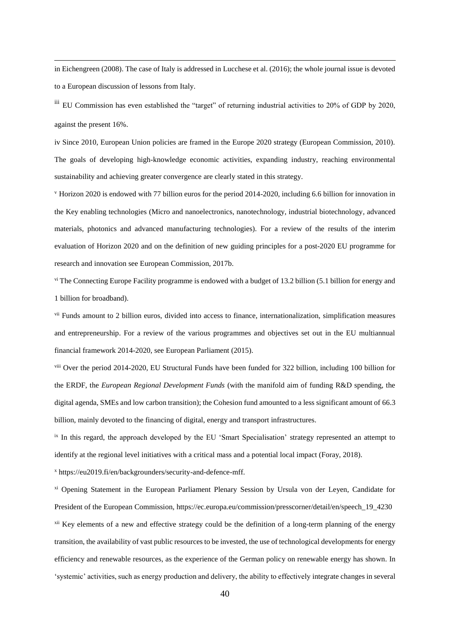in Eichengreen (2008). The case of Italy is addressed in Lucchese et al. (2016); the whole journal issue is devoted to a European discussion of lessons from Italy.

<u>.</u>

iii EU Commission has even established the "target" of returning industrial activities to 20% of GDP by 2020, against the present 16%.

iv Since 2010, European Union policies are framed in the Europe 2020 strategy (European Commission, 2010). The goals of developing high-knowledge economic activities, expanding industry, reaching environmental sustainability and achieving greater convergence are clearly stated in this strategy.

<sup>v</sup> Horizon 2020 is endowed with 77 billion euros for the period 2014-2020, including 6.6 billion for innovation in the Key enabling technologies (Micro and nanoelectronics, nanotechnology, industrial biotechnology, advanced materials, photonics and advanced manufacturing technologies). For a review of the results of the interim evaluation of Horizon 2020 and on the definition of new guiding principles for a post-2020 EU programme for research and innovation see European Commission, 2017b.

vi The Connecting Europe Facility programme is endowed with a budget of 13.2 billion (5.1 billion for energy and 1 billion for broadband).

vii Funds amount to 2 billion euros, divided into access to finance, internationalization, simplification measures and entrepreneurship. For a review of the various programmes and objectives set out in the EU multiannual financial framework 2014-2020, see European Parliament (2015).

viii Over the period 2014-2020, EU Structural Funds have been funded for 322 billion, including 100 billion for the ERDF, the *European Regional Development Funds* (with the manifold aim of funding R&D spending, the digital agenda, SMEs and low carbon transition); the Cohesion fund amounted to a less significant amount of 66.3 billion, mainly devoted to the financing of digital, energy and transport infrastructures.

<sup>ix</sup> In this regard, the approach developed by the EU 'Smart Specialisation' strategy represented an attempt to identify at the regional level initiatives with a critical mass and a potential local impact (Foray, 2018).

<sup>x</sup> https://eu2019.fi/en/backgrounders/security-and-defence-mff.

xi Opening Statement in the European Parliament Plenary Session by Ursula von der Leyen, Candidate for President of the European Commission, https://ec.europa.eu/commission/presscorner/detail/en/speech\_19\_4230

<sup>xii</sup> Key elements of a new and effective strategy could be the definition of a long-term planning of the energy transition, the availability of vast public resources to be invested, the use of technological developments for energy efficiency and renewable resources, as the experience of the German policy on renewable energy has shown. In 'systemic' activities, such as energy production and delivery, the ability to effectively integrate changes in several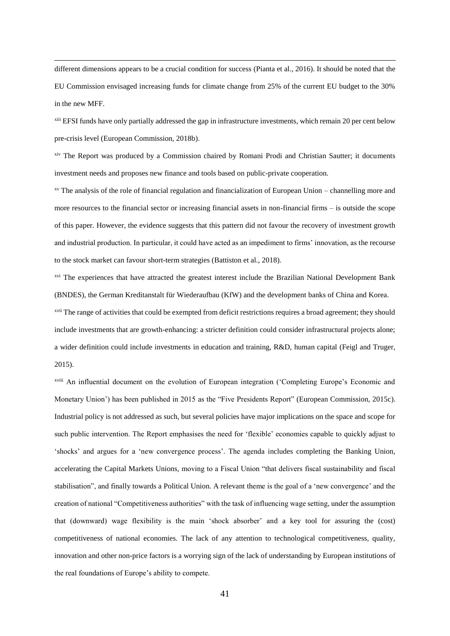different dimensions appears to be a crucial condition for success (Pianta et al., 2016). It should be noted that the EU Commission envisaged increasing funds for climate change from 25% of the current EU budget to the 30% in the new MFF.

<u>.</u>

xiii EFSI funds have only partially addressed the gap in infrastructure investments, which remain 20 per cent below pre-crisis level (European Commission, 2018b).

xiv The Report was produced by a Commission chaired by Romani Prodi and Christian Sautter; it documents investment needs and proposes new finance and tools based on public-private cooperation.

xv The analysis of the role of financial regulation and financialization of European Union – channelling more and more resources to the financial sector or increasing financial assets in non-financial firms – is outside the scope of this paper. However, the evidence suggests that this pattern did not favour the recovery of investment growth and industrial production. In particular, it could have acted as an impediment to firms' innovation, as the recourse to the stock market can favour short-term strategies (Battiston et al., 2018).

xvi The experiences that have attracted the greatest interest include the Brazilian National Development Bank (BNDES), the German Kreditanstalt für Wiederaufbau (KfW) and the development banks of China and Korea.

xvii The range of activities that could be exempted from deficit restrictions requires a broad agreement; they should include investments that are growth-enhancing: a stricter definition could consider infrastructural projects alone; a wider definition could include investments in education and training, R&D, human capital (Feigl and Truger, 2015).

xviii An influential document on the evolution of European integration ('Completing Europe's Economic and Monetary Union') has been published in 2015 as the "Five Presidents Report" (European Commission, 2015c). Industrial policy is not addressed as such, but several policies have major implications on the space and scope for such public intervention. The Report emphasises the need for 'flexible' economies capable to quickly adjust to 'shocks' and argues for a 'new convergence process'. The agenda includes completing the Banking Union, accelerating the Capital Markets Unions, moving to a Fiscal Union "that delivers fiscal sustainability and fiscal stabilisation", and finally towards a Political Union. A relevant theme is the goal of a 'new convergence' and the creation of national "Competitiveness authorities" with the task of influencing wage setting, under the assumption that (downward) wage flexibility is the main 'shock absorber' and a key tool for assuring the (cost) competitiveness of national economies. The lack of any attention to technological competitiveness, quality, innovation and other non-price factors is a worrying sign of the lack of understanding by European institutions of the real foundations of Europe's ability to compete.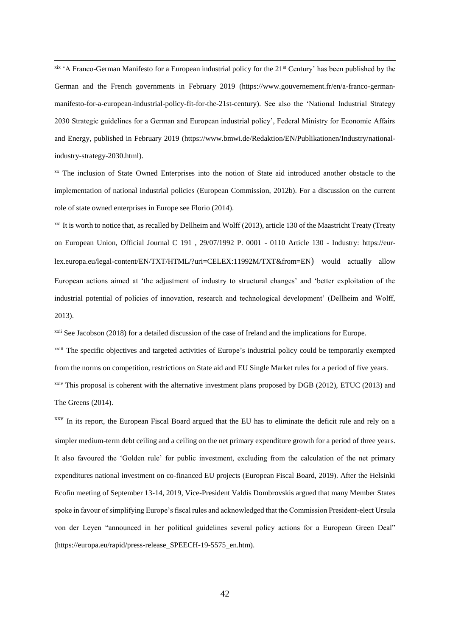xix 'A Franco-German Manifesto for a European industrial policy for the  $21<sup>st</sup>$  Century' has been published by the German and the French governments in February 2019 (https://www.gouvernement.fr/en/a-franco-germanmanifesto-for-a-european-industrial-policy-fit-for-the-21st-century). See also the 'National Industrial Strategy 2030 Strategic guidelines for a German and European industrial policy', Federal Ministry for Economic Affairs and Energy, published in February 2019 (https://www.bmwi.de/Redaktion/EN/Publikationen/Industry/nationalindustry-strategy-2030.html).

<u>.</u>

xx The inclusion of State Owned Enterprises into the notion of State aid introduced another obstacle to the implementation of national industrial policies (European Commission, 2012b). For a discussion on the current role of state owned enterprises in Europe see Florio (2014).

<sup>xxi</sup> It is worth to notice that, as recalled by Dellheim and Wolff (2013), article 130 of the Maastricht Treaty (Treaty on European Union, Official Journal C 191 , 29/07/1992 P. 0001 - 0110 Article 130 - Industry: [https://eur](https://eur-lex.europa.eu/legal-content/EN/TXT/HTML/?uri=CELEX:11992M/TXT&from=EN)[lex.europa.eu/legal-content/EN/TXT/HTML/?uri=CELEX:11992M/TXT&from=EN](https://eur-lex.europa.eu/legal-content/EN/TXT/HTML/?uri=CELEX:11992M/TXT&from=EN)) would actually allow European actions aimed at 'the adjustment of industry to structural changes' and 'better exploitation of the industrial potential of policies of innovation, research and technological development' (Dellheim and Wolff, 2013).

xxii See Jacobson (2018) for a detailed discussion of the case of Ireland and the implications for Europe.

xxiii The specific objectives and targeted activities of Europe's industrial policy could be temporarily exempted from the norms on competition, restrictions on State aid and EU Single Market rules for a period of five years.

 $xxiv$  This proposal is coherent with the alternative investment plans proposed by DGB (2012), ETUC (2013) and The Greens (2014).

<sup>xxv</sup> In its report, the European Fiscal Board argued that the EU has to eliminate the deficit rule and rely on a simpler medium-term debt ceiling and a ceiling on the net primary expenditure growth for a period of three years. It also favoured the 'Golden rule' for public investment, excluding from the calculation of the net primary expenditures national investment on co-financed EU projects (European Fiscal Board, 2019). After the Helsinki Ecofin meeting of September 13-14, 2019, Vice-President Valdis Dombrovskis argued that many Member States spoke in favour of simplifying Europe's fiscal rules and acknowledged that the Commission President-elect Ursula von der Leyen "announced in her political guidelines several policy actions for a European Green Deal" [\(https://europa.eu/rapid/press-release\\_SPEECH-19-5575\\_en.htm\)](https://europa.eu/rapid/press-release_SPEECH-19-5575_en.htm).